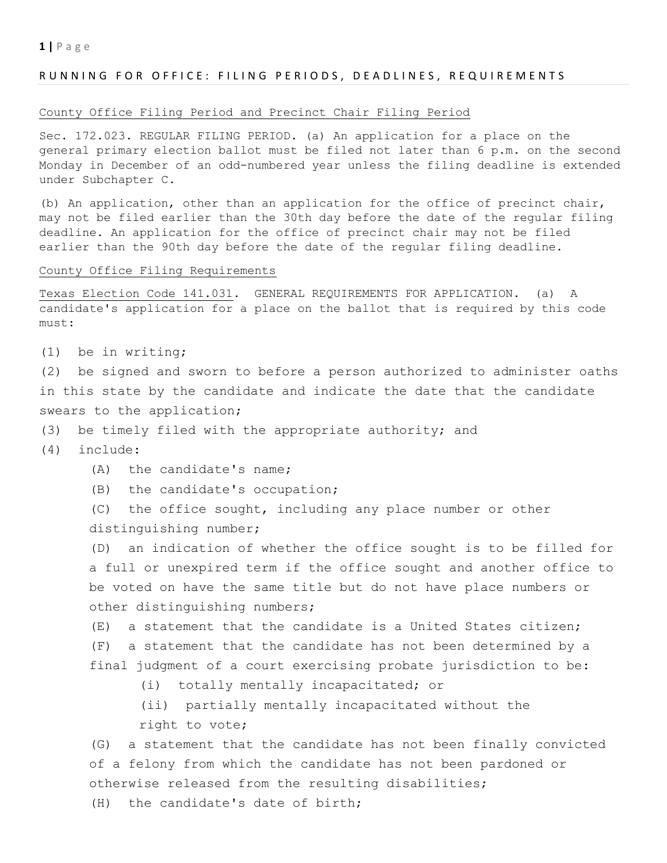#### $1 | P \text{ a g e}$

#### RUNNING FOR OFFICE: FILING PERIODS, DEADLINES, REQUIREMENTS

#### County Office Filing Period and Precinct Chair Filing Period

Sec. 172.023. REGULAR FILING PERIOD. (a) An application for a place on the general primary election ballot must be filed not later than 6 p.m. on the second Monday in December of an odd-numbered year unless the filing deadline is extended under Subchapter C.

(b) An application, other than an application for the office of precinct chair, may not be filed earlier than the 30th day before the date of the regular filing deadline. An application for the office of precinct chair may not be filed earlier than the 90th day before the date of the regular filing deadline.

#### County Office Filing Requirements

Texas Election Code 141.031. GENERAL REQUIREMENTS FOR APPLICATION. (a) A candidate's application for a place on the ballot that is required by this code must:

(1) be in writing;

(2) be signed and sworn to before a person authorized to administer oaths in this state by the candidate and indicate the date that the candidate swears to the application;

- (3) be timely filed with the appropriate authority; and
- (4) include:
	- (A) the candidate's name;
	- (B) the candidate's occupation;

(C) the office sought, including any place number or other distinguishing number;

(D) an indication of whether the office sought is to be filled for a full or unexpired term if the office sought and another office to be voted on have the same title but do not have place numbers or other distinguishing numbers;

(E) a statement that the candidate is a United States citizen; (F) a statement that the candidate has not been determined by a final judgment of a court exercising probate jurisdiction to be:

(i) totally mentally incapacitated; or

 (ii) partially mentally incapacitated without the right to vote;

(G) a statement that the candidate has not been finally convicted of a felony from which the candidate has not been pardoned or otherwise released from the resulting disabilities;

(H) the candidate's date of birth;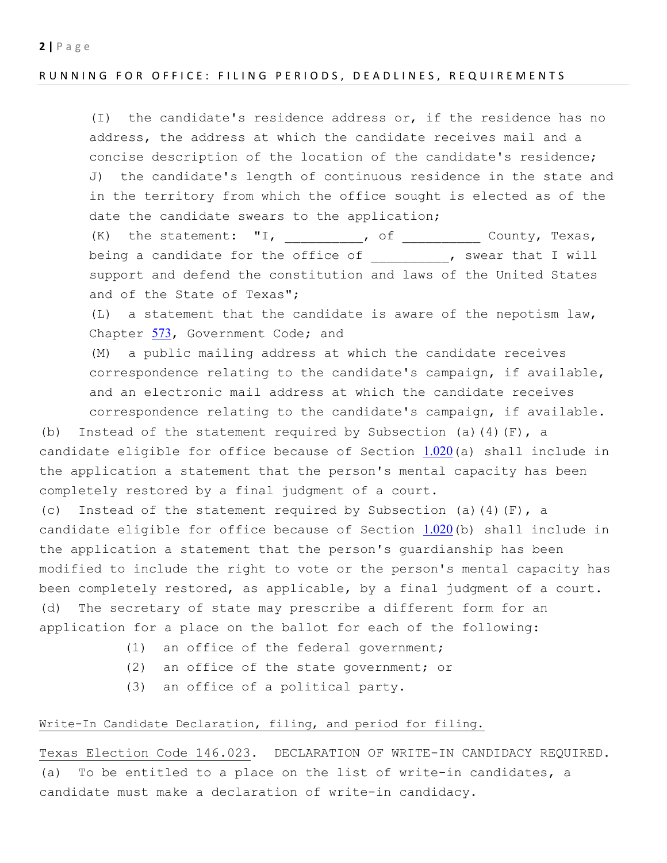# RUNNING FOR OFFICE: FILING PERIODS, DEADLINES, REQUIREMENTS

(I) the candidate's residence address or, if the residence has no address, the address at which the candidate receives mail and a concise description of the location of the candidate's residence; J) the candidate's length of continuous residence in the state and in the territory from which the office sought is elected as of the date the candidate swears to the application;

 $(K)$  the statement: "I, \_\_\_\_\_\_\_\_\_, of \_\_\_\_\_\_\_\_\_\_ County, Texas, being a candidate for the office of \_\_\_\_\_\_\_\_\_, swear that I will support and defend the constitution and laws of the United States and of the State of Texas";

(L) a statement that the candidate is aware of the nepotism law, Chapter 573, Government Code; and

(M) a public mailing address at which the candidate receives correspondence relating to the candidate's campaign, if available, and an electronic mail address at which the candidate receives correspondence relating to the candidate's campaign, if available.

(b) Instead of the statement required by Subsection (a)(4)(F), a candidate eligible for office because of Section  $1.020$  (a) shall include in the application a statement that the person's mental capacity has been completely restored by a final judgment of a court.

(c) Instead of the statement required by Subsection (a)(4)(F), a candidate eligible for office because of Section  $1.020$  (b) shall include in the application a statement that the person's guardianship has been modified to include the right to vote or the person's mental capacity has been completely restored, as applicable, by a final judgment of a court. (d) The secretary of state may prescribe a different form for an application for a place on the ballot for each of the following:

- (1) an office of the federal government;
- (2) an office of the state government; or
- (3) an office of a political party.

## Write-In Candidate Declaration, filing, and period for filing.

Texas Election Code 146.023. DECLARATION OF WRITE-IN CANDIDACY REQUIRED. (a) To be entitled to a place on the list of write-in candidates, a candidate must make a declaration of write-in candidacy.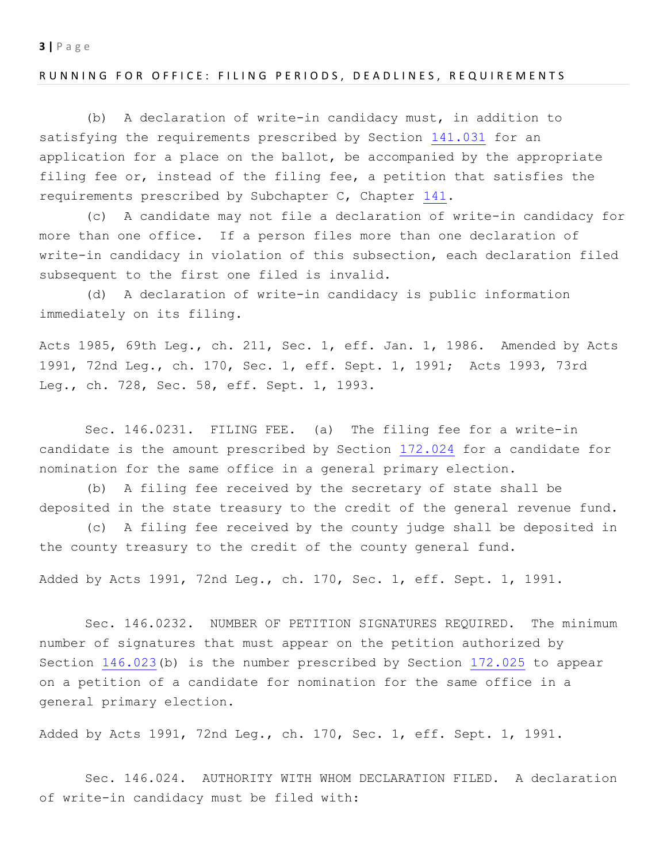#### RUNNING FOR OFFICE: FILING PERIODS, DEADLINES, REQUIREMENTS

(b) A declaration of write-in candidacy must, in addition to satisfying the requirements prescribed by Section 141.031 for an application for a place on the ballot, be accompanied by the appropriate filing fee or, instead of the filing fee, a petition that satisfies the requirements prescribed by Subchapter C, Chapter 141.

(c) A candidate may not file a declaration of write-in candidacy for more than one office. If a person files more than one declaration of write-in candidacy in violation of this subsection, each declaration filed subsequent to the first one filed is invalid.

(d) A declaration of write-in candidacy is public information immediately on its filing.

Acts 1985, 69th Leg., ch. 211, Sec. 1, eff. Jan. 1, 1986. Amended by Acts 1991, 72nd Leg., ch. 170, Sec. 1, eff. Sept. 1, 1991; Acts 1993, 73rd Leg., ch. 728, Sec. 58, eff. Sept. 1, 1993.

Sec. 146.0231. FILING FEE. (a) The filing fee for a write-in candidate is the amount prescribed by Section 172.024 for a candidate for nomination for the same office in a general primary election.

(b) A filing fee received by the secretary of state shall be deposited in the state treasury to the credit of the general revenue fund.

(c) A filing fee received by the county judge shall be deposited in the county treasury to the credit of the county general fund.

Added by Acts 1991, 72nd Leg., ch. 170, Sec. 1, eff. Sept. 1, 1991.

Sec. 146.0232. NUMBER OF PETITION SIGNATURES REQUIRED. The minimum number of signatures that must appear on the petition authorized by Section 146.023(b) is the number prescribed by Section 172.025 to appear on a petition of a candidate for nomination for the same office in a general primary election.

Added by Acts 1991, 72nd Leg., ch. 170, Sec. 1, eff. Sept. 1, 1991.

Sec. 146.024. AUTHORITY WITH WHOM DECLARATION FILED. A declaration of write-in candidacy must be filed with: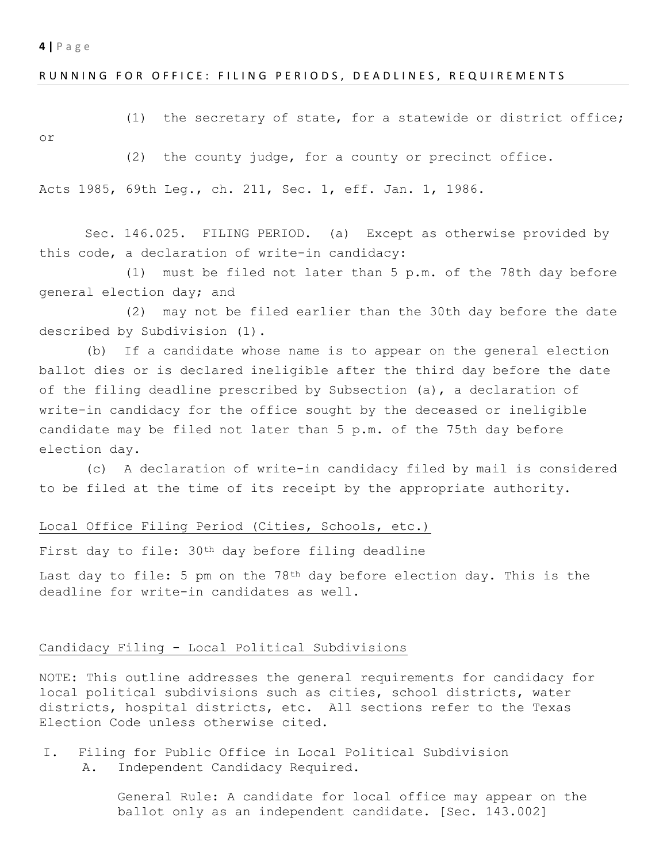#### RUNNING FOR OFFICE: FILING PERIODS, DEADLINES, REQUIREMENTS

(1) the secretary of state, for a statewide or district office;

or

(2) the county judge, for a county or precinct office.

Acts 1985, 69th Leg., ch. 211, Sec. 1, eff. Jan. 1, 1986.

Sec. 146.025. FILING PERIOD. (a) Except as otherwise provided by this code, a declaration of write-in candidacy:

(1) must be filed not later than 5 p.m. of the 78th day before general election day; and

(2) may not be filed earlier than the 30th day before the date described by Subdivision (1).

(b) If a candidate whose name is to appear on the general election ballot dies or is declared ineligible after the third day before the date of the filing deadline prescribed by Subsection (a), a declaration of write-in candidacy for the office sought by the deceased or ineligible candidate may be filed not later than 5 p.m. of the 75th day before election day.

(c) A declaration of write-in candidacy filed by mail is considered to be filed at the time of its receipt by the appropriate authority.

#### Local Office Filing Period (Cities, Schools, etc.)

First day to file: 30th day before filing deadline

Last day to file: 5 pm on the 78<sup>th</sup> day before election day. This is the deadline for write-in candidates as well.

## Candidacy Filing - Local Political Subdivisions

NOTE: This outline addresses the general requirements for candidacy for local political subdivisions such as cities, school districts, water districts, hospital districts, etc. All sections refer to the Texas Election Code unless otherwise cited.

I. Filing for Public Office in Local Political Subdivision A. Independent Candidacy Required.

> General Rule: A candidate for local office may appear on the ballot only as an independent candidate. [Sec. 143.002]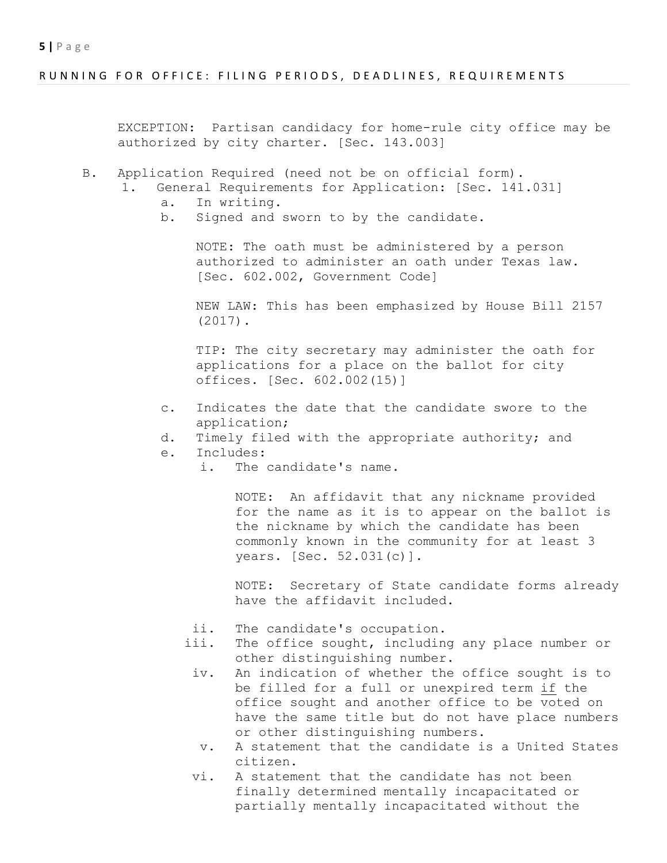### RUNNING FOR OFFICE: FILING PERIODS, DEADLINES, REQUIREMENTS

EXCEPTION: Partisan candidacy for home-rule city office may be authorized by city charter. [Sec. 143.003]

- B. Application Required (need not be on official form).
	- 1. General Requirements for Application: [Sec. 141.031]
		- a. In writing.
		- b. Signed and sworn to by the candidate.

NOTE: The oath must be administered by a person authorized to administer an oath under Texas law. [Sec. 602.002, Government Code]

NEW LAW: This has been emphasized by House Bill 2157 (2017).

TIP: The city secretary may administer the oath for applications for a place on the ballot for city offices. [Sec. 602.002(15)]

- c. Indicates the date that the candidate swore to the application;
- d. Timely filed with the appropriate authority; and
- e. Includes:
	- i. The candidate's name.

NOTE: An affidavit that any nickname provided for the name as it is to appear on the ballot is the nickname by which the candidate has been commonly known in the community for at least 3 years. [Sec. 52.031(c)].

NOTE: Secretary of State candidate forms already have the affidavit included.

- ii. The candidate's occupation.
- iii. The office sought, including any place number or other distinguishing number.
- iv. An indication of whether the office sought is to be filled for a full or unexpired term if the office sought and another office to be voted on have the same title but do not have place numbers or other distinguishing numbers.
- v. A statement that the candidate is a United States citizen.
- vi. A statement that the candidate has not been finally determined mentally incapacitated or partially mentally incapacitated without the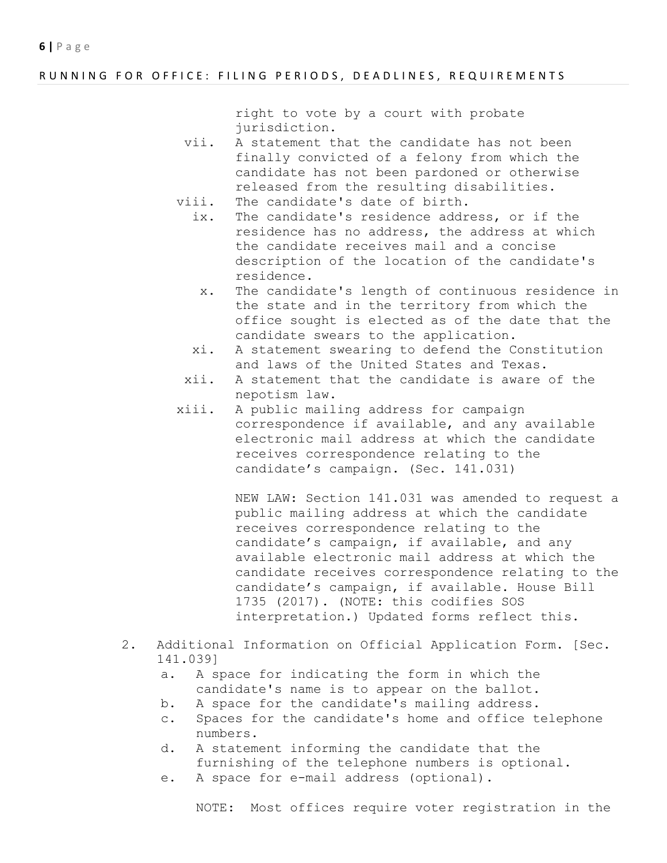#### RUNNING FOR OFFICE: FILING PERIODS, DEADLINES, REQUIREMENTS

right to vote by a court with probate jurisdiction.

- vii. A statement that the candidate has not been finally convicted of a felony from which the candidate has not been pardoned or otherwise released from the resulting disabilities.
- viii. The candidate's date of birth.
	- ix. The candidate's residence address, or if the residence has no address, the address at which the candidate receives mail and a concise description of the location of the candidate's residence.
		- x. The candidate's length of continuous residence in the state and in the territory from which the office sought is elected as of the date that the candidate swears to the application.
	- xi. A statement swearing to defend the Constitution and laws of the United States and Texas.
- xii. A statement that the candidate is aware of the nepotism law.
- xiii. A public mailing address for campaign correspondence if available, and any available electronic mail address at which the candidate receives correspondence relating to the candidate's campaign. (Sec. 141.031)

NEW LAW: Section 141.031 was amended to request a public mailing address at which the candidate receives correspondence relating to the candidate's campaign, if available, and any available electronic mail address at which the candidate receives correspondence relating to the candidate's campaign, if available. House Bill 1735 (2017). (NOTE: this codifies SOS interpretation.) Updated forms reflect this.

- 2. Additional Information on Official Application Form. [Sec. 141.039]
	- a. A space for indicating the form in which the candidate's name is to appear on the ballot.
	- b. A space for the candidate's mailing address.
	- c. Spaces for the candidate's home and office telephone numbers.
	- d. A statement informing the candidate that the furnishing of the telephone numbers is optional.
	- e. A space for e-mail address (optional).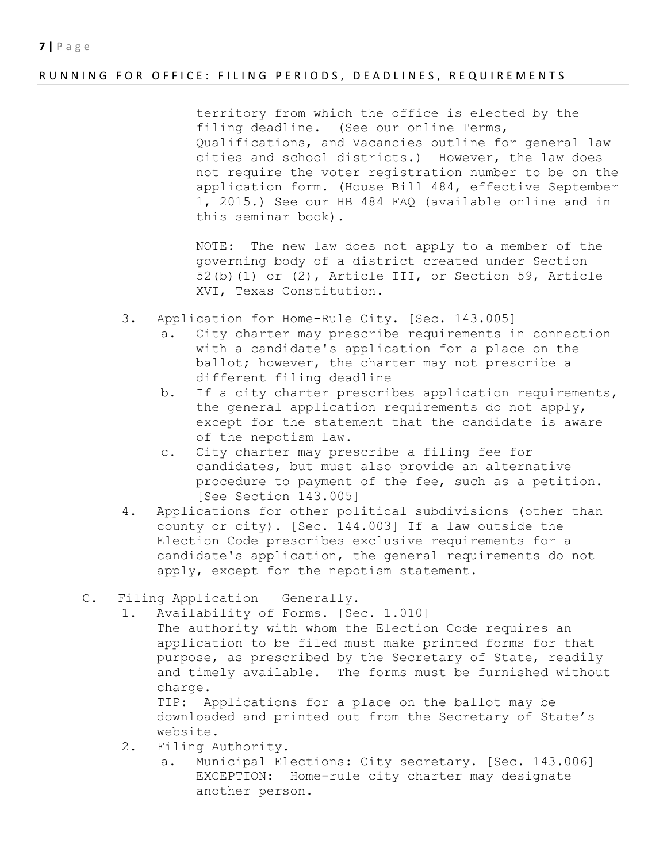# RUNNING FOR OFFICE: FILING PERIODS, DEADLINES, REQUIREMENTS

territory from which the office is elected by the filing deadline. (See our online Terms, Qualifications, and Vacancies outline for general law cities and school districts.) However, the law does not require the voter registration number to be on the application form. (House Bill 484, effective September 1, 2015.) See our HB 484 FAQ (available online and in this seminar book).

NOTE: The new law does not apply to a member of the governing body of a district created under Section 52(b)(1) or (2), Article III, or Section 59, Article XVI, Texas Constitution.

- 3. Application for Home-Rule City. [Sec. 143.005]
	- a. City charter may prescribe requirements in connection with a candidate's application for a place on the ballot; however, the charter may not prescribe a different filing deadline
	- b. If a city charter prescribes application requirements, the general application requirements do not apply, except for the statement that the candidate is aware of the nepotism law.
	- c. City charter may prescribe a filing fee for candidates, but must also provide an alternative procedure to payment of the fee, such as a petition. [See Section 143.005]
- 4. Applications for other political subdivisions (other than county or city). [Sec. 144.003] If a law outside the Election Code prescribes exclusive requirements for a candidate's application, the general requirements do not apply, except for the nepotism statement.
- C. Filing Application Generally.
	- 1. Availability of Forms. [Sec. 1.010]
		- The authority with whom the Election Code requires an application to be filed must make printed forms for that purpose, as prescribed by the Secretary of State, readily and timely available. The forms must be furnished without charge.

TIP: Applications for a place on the ballot may be downloaded and printed out from the Secretary of State's website.

- 2. Filing Authority.
	- a. Municipal Elections: City secretary. [Sec. 143.006] EXCEPTION: Home-rule city charter may designate another person.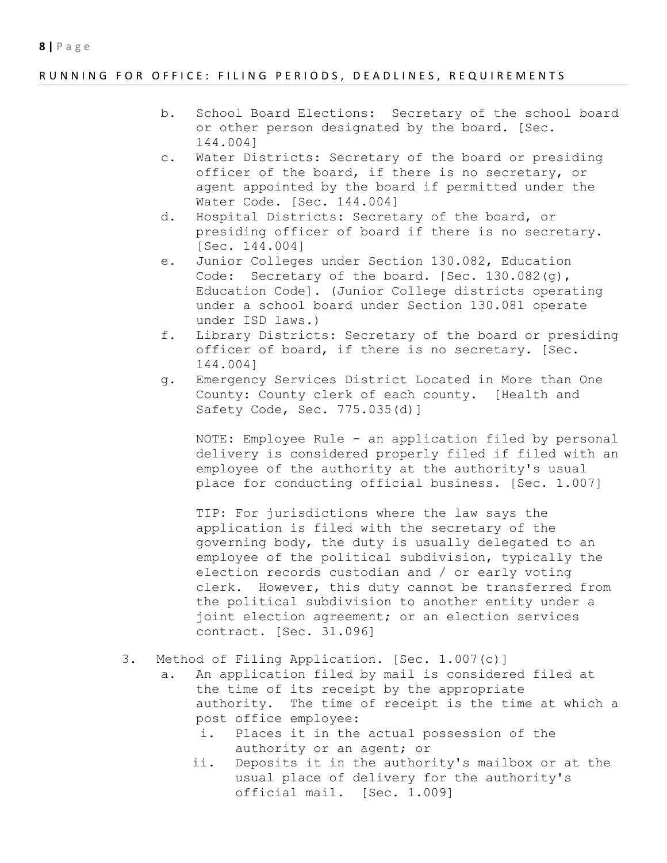## RUNNING FOR OFFICE: FILING PERIODS, DEADLINES, REQUIREMENTS

- b. School Board Elections: Secretary of the school board or other person designated by the board. [Sec. 144.004]
- c. Water Districts: Secretary of the board or presiding officer of the board, if there is no secretary, or agent appointed by the board if permitted under the Water Code. [Sec. 144.004]
- d. Hospital Districts: Secretary of the board, or presiding officer of board if there is no secretary. [Sec. 144.004]
- e. Junior Colleges under Section 130.082, Education Code: Secretary of the board. [Sec. 130.082(q), Education Code]. (Junior College districts operating under a school board under Section 130.081 operate under ISD laws.)
- f. Library Districts: Secretary of the board or presiding officer of board, if there is no secretary. [Sec. 144.004]
- g. Emergency Services District Located in More than One County: County clerk of each county. [Health and Safety Code, Sec. 775.035(d)]

NOTE: Employee Rule - an application filed by personal delivery is considered properly filed if filed with an employee of the authority at the authority's usual place for conducting official business. [Sec. 1.007]

TIP: For jurisdictions where the law says the application is filed with the secretary of the governing body, the duty is usually delegated to an employee of the political subdivision, typically the election records custodian and / or early voting clerk. However, this duty cannot be transferred from the political subdivision to another entity under a joint election agreement; or an election services contract. [Sec. 31.096]

# 3. Method of Filing Application. [Sec. 1.007(c)]

- a. An application filed by mail is considered filed at the time of its receipt by the appropriate authority. The time of receipt is the time at which a post office employee:
	- i. Places it in the actual possession of the authority or an agent; or
	- ii. Deposits it in the authority's mailbox or at the usual place of delivery for the authority's official mail. [Sec. 1.009]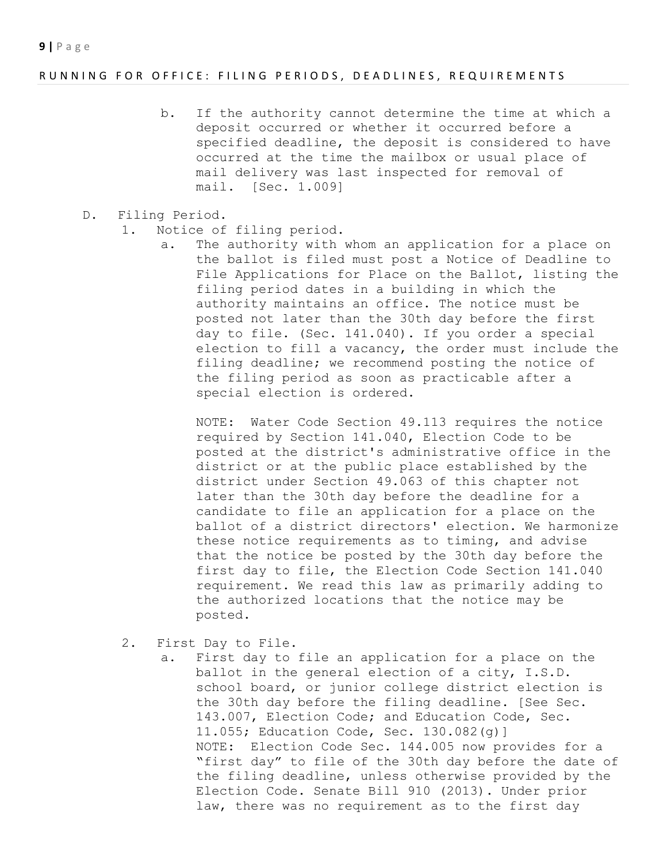### RUNNING FOR OFFICE: FILING PERIODS, DEADLINES, REQUIREMENTS

- b. If the authority cannot determine the time at which a deposit occurred or whether it occurred before a specified deadline, the deposit is considered to have occurred at the time the mailbox or usual place of mail delivery was last inspected for removal of mail. [Sec. 1.009]
- D. Filing Period.
	- 1. Notice of filing period.
		- a. The authority with whom an application for a place on the ballot is filed must post a Notice of Deadline to File Applications for Place on the Ballot, listing the filing period dates in a building in which the authority maintains an office. The notice must be posted not later than the 30th day before the first day to file. (Sec. 141.040). If you order a special election to fill a vacancy, the order must include the filing deadline; we recommend posting the notice of the filing period as soon as practicable after a special election is ordered.

NOTE: Water Code Section 49.113 requires the notice required by Section 141.040, Election Code to be posted at the district's administrative office in the district or at the public place established by the district under Section 49.063 of this chapter not later than the 30th day before the deadline for a candidate to file an application for a place on the ballot of a district directors' election. We harmonize these notice requirements as to timing, and advise that the notice be posted by the 30th day before the first day to file, the Election Code Section 141.040 requirement. We read this law as primarily adding to the authorized locations that the notice may be posted.

- 2. First Day to File.
	- a. First day to file an application for a place on the ballot in the general election of a city, I.S.D. school board, or junior college district election is the 30th day before the filing deadline. [See Sec. 143.007, Election Code; and Education Code, Sec. 11.055; Education Code, Sec. 130.082(g)] NOTE: Election Code Sec. 144.005 now provides for a "first day" to file of the 30th day before the date of the filing deadline, unless otherwise provided by the Election Code. Senate Bill 910 (2013). Under prior law, there was no requirement as to the first day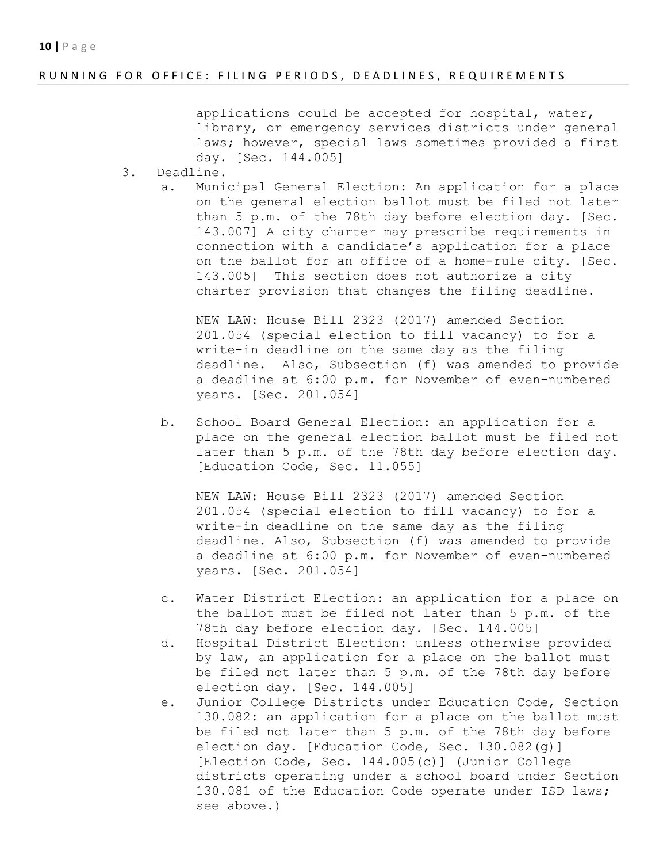#### RUNNING FOR OFFICE: FILING PERIODS, DEADLINES, REQUIREMENTS

applications could be accepted for hospital, water, library, or emergency services districts under general laws; however, special laws sometimes provided a first day. [Sec. 144.005]

- 3. Deadline.
	- a. Municipal General Election: An application for a place on the general election ballot must be filed not later than 5 p.m. of the 78th day before election day. [Sec. 143.007] A city charter may prescribe requirements in connection with a candidate's application for a place on the ballot for an office of a home-rule city. [Sec. 143.005] This section does not authorize a city charter provision that changes the filing deadline.

NEW LAW: House Bill 2323 (2017) amended Section 201.054 (special election to fill vacancy) to for a write-in deadline on the same day as the filing deadline. Also, Subsection (f) was amended to provide a deadline at 6:00 p.m. for November of even-numbered years. [Sec. 201.054]

b. School Board General Election: an application for a place on the general election ballot must be filed not later than 5 p.m. of the 78th day before election day. [Education Code, Sec. 11.055]

NEW LAW: House Bill 2323 (2017) amended Section 201.054 (special election to fill vacancy) to for a write-in deadline on the same day as the filing deadline. Also, Subsection (f) was amended to provide a deadline at 6:00 p.m. for November of even-numbered years. [Sec. 201.054]

- c. Water District Election: an application for a place on the ballot must be filed not later than 5 p.m. of the 78th day before election day. [Sec. 144.005]
- d. Hospital District Election: unless otherwise provided by law, an application for a place on the ballot must be filed not later than 5 p.m. of the 78th day before election day. [Sec. 144.005]
- e. Junior College Districts under Education Code, Section 130.082: an application for a place on the ballot must be filed not later than 5 p.m. of the 78th day before election day. [Education Code, Sec. 130.082(g)] [Election Code, Sec. 144.005(c)] (Junior College districts operating under a school board under Section 130.081 of the Education Code operate under ISD laws; see above.)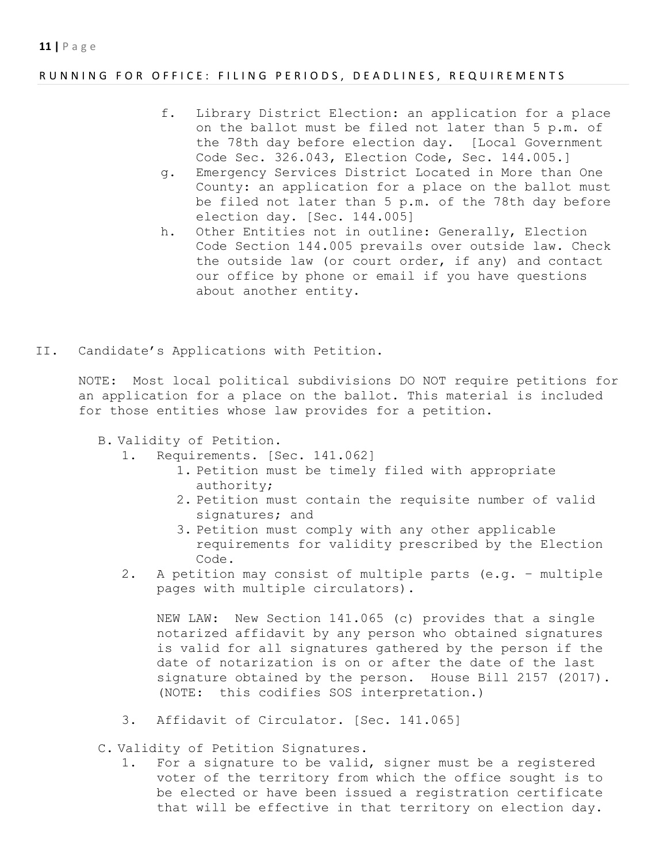### RUNNING FOR OFFICE: FILING PERIODS, DEADLINES, REQUIREMENTS

- f. Library District Election: an application for a place on the ballot must be filed not later than 5 p.m. of the 78th day before election day. [Local Government Code Sec. 326.043, Election Code, Sec. 144.005.]
- g. Emergency Services District Located in More than One County: an application for a place on the ballot must be filed not later than 5 p.m. of the 78th day before election day. [Sec. 144.005]
- h. Other Entities not in outline: Generally, Election Code Section 144.005 prevails over outside law. Check the outside law (or court order, if any) and contact our office by phone or email if you have questions about another entity.
- II. Candidate's Applications with Petition.

NOTE: Most local political subdivisions DO NOT require petitions for an application for a place on the ballot. This material is included for those entities whose law provides for a petition.

B. Validity of Petition.

- 1. Requirements. [Sec. 141.062]
	- 1. Petition must be timely filed with appropriate authority;
	- 2. Petition must contain the requisite number of valid signatures; and
	- 3. Petition must comply with any other applicable requirements for validity prescribed by the Election Code.
- 2. A petition may consist of multiple parts (e.g. multiple pages with multiple circulators).

NEW LAW: New Section 141.065 (c) provides that a single notarized affidavit by any person who obtained signatures is valid for all signatures gathered by the person if the date of notarization is on or after the date of the last signature obtained by the person. House Bill 2157 (2017). (NOTE: this codifies SOS interpretation.)

3. Affidavit of Circulator. [Sec. 141.065]

C. Validity of Petition Signatures.

1. For a signature to be valid, signer must be a registered voter of the territory from which the office sought is to be elected or have been issued a registration certificate that will be effective in that territory on election day.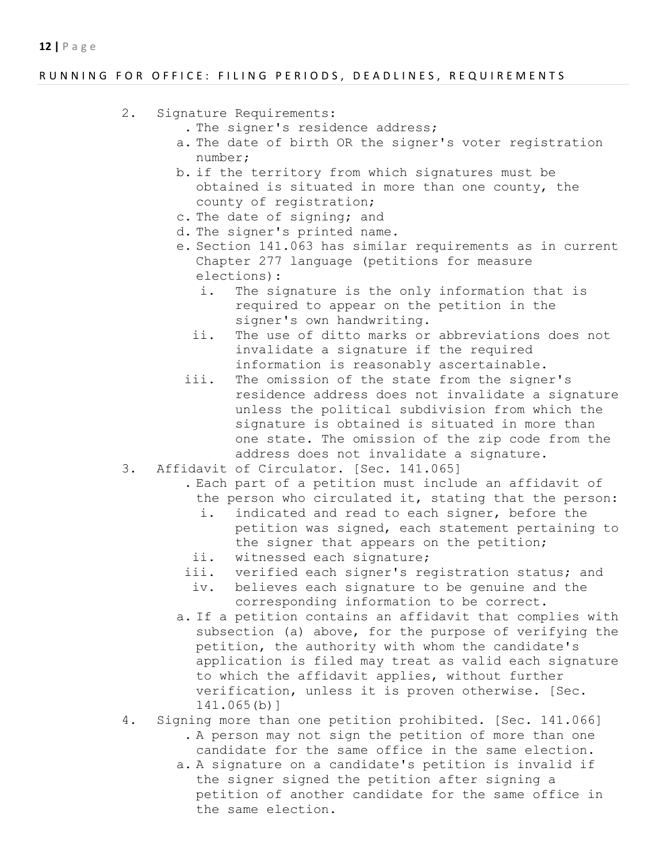## RUNNING FOR OFFICE: FILING PERIODS, DEADLINES, REQUIREMENTS

- 2. Signature Requirements:
	- . The signer's residence address;
	- a. The date of birth OR the signer's voter registration number;
	- b. if the territory from which signatures must be obtained is situated in more than one county, the county of registration;
	- c. The date of signing; and
	- d. The signer's printed name.
	- e. Section 141.063 has similar requirements as in current Chapter 277 language (petitions for measure elections):
		- i. The signature is the only information that is required to appear on the petition in the signer's own handwriting.
		- ii. The use of ditto marks or abbreviations does not invalidate a signature if the required information is reasonably ascertainable.
	- iii. The omission of the state from the signer's residence address does not invalidate a signature unless the political subdivision from which the signature is obtained is situated in more than one state. The omission of the zip code from the address does not invalidate a signature.
- 3. Affidavit of Circulator. [Sec. 141.065]
	- . Each part of a petition must include an affidavit of the person who circulated it, stating that the person:
		- i. indicated and read to each signer, before the petition was signed, each statement pertaining to the signer that appears on the petition;
	- ii. witnessed each signature;
	- iii. verified each signer's registration status; and
	- iv. believes each signature to be genuine and the corresponding information to be correct.
	- a. If a petition contains an affidavit that complies with subsection (a) above, for the purpose of verifying the petition, the authority with whom the candidate's application is filed may treat as valid each signature to which the affidavit applies, without further verification, unless it is proven otherwise. [Sec. 141.065(b)]
- 4. Signing more than one petition prohibited. [Sec. 141.066] . A person may not sign the petition of more than one candidate for the same office in the same election.
	- a. A signature on a candidate's petition is invalid if the signer signed the petition after signing a petition of another candidate for the same office in the same election.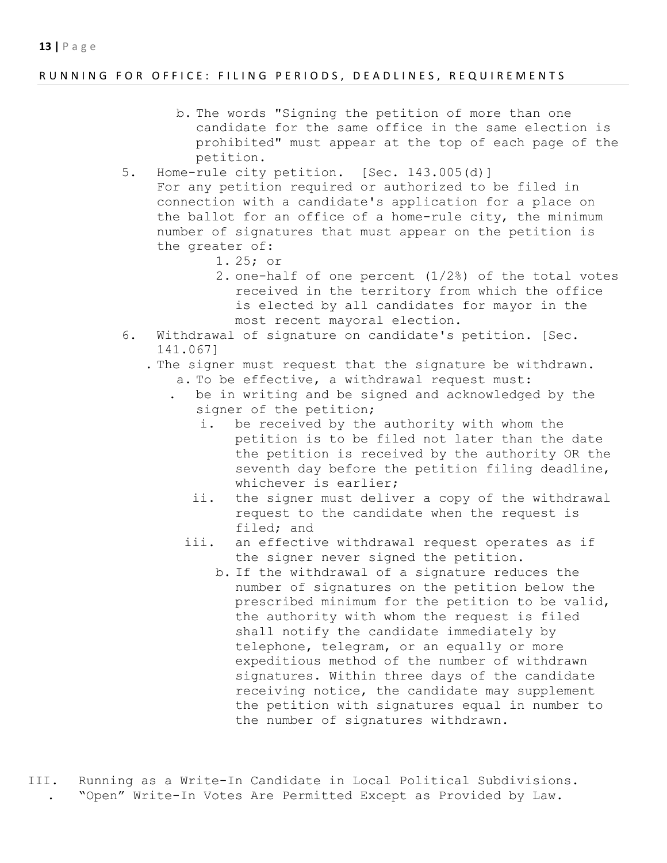### RUNNING FOR OFFICE: FILING PERIODS, DEADLINES, REQUIREMENTS

- b. The words "Signing the petition of more than one candidate for the same office in the same election is prohibited" must appear at the top of each page of the petition.
- 5. Home-rule city petition. [Sec. 143.005(d)] For any petition required or authorized to be filed in connection with a candidate's application for a place on the ballot for an office of a home-rule city, the minimum number of signatures that must appear on the petition is the greater of:
	- 1. 25; or
	- 2. one-half of one percent (1/2%) of the total votes received in the territory from which the office is elected by all candidates for mayor in the most recent mayoral election.
- 6. Withdrawal of signature on candidate's petition. [Sec. 141.067]
	- . The signer must request that the signature be withdrawn. a. To be effective, a withdrawal request must:
		- . be in writing and be signed and acknowledged by the signer of the petition;
			- i. be received by the authority with whom the petition is to be filed not later than the date the petition is received by the authority OR the seventh day before the petition filing deadline, whichever is earlier;
			- ii. the signer must deliver a copy of the withdrawal request to the candidate when the request is filed; and
			- iii. an effective withdrawal request operates as if the signer never signed the petition.
				- b. If the withdrawal of a signature reduces the number of signatures on the petition below the prescribed minimum for the petition to be valid, the authority with whom the request is filed shall notify the candidate immediately by telephone, telegram, or an equally or more expeditious method of the number of withdrawn signatures. Within three days of the candidate receiving notice, the candidate may supplement the petition with signatures equal in number to the number of signatures withdrawn.
- III. Running as a Write-In Candidate in Local Political Subdivisions. . "Open" Write-In Votes Are Permitted Except as Provided by Law.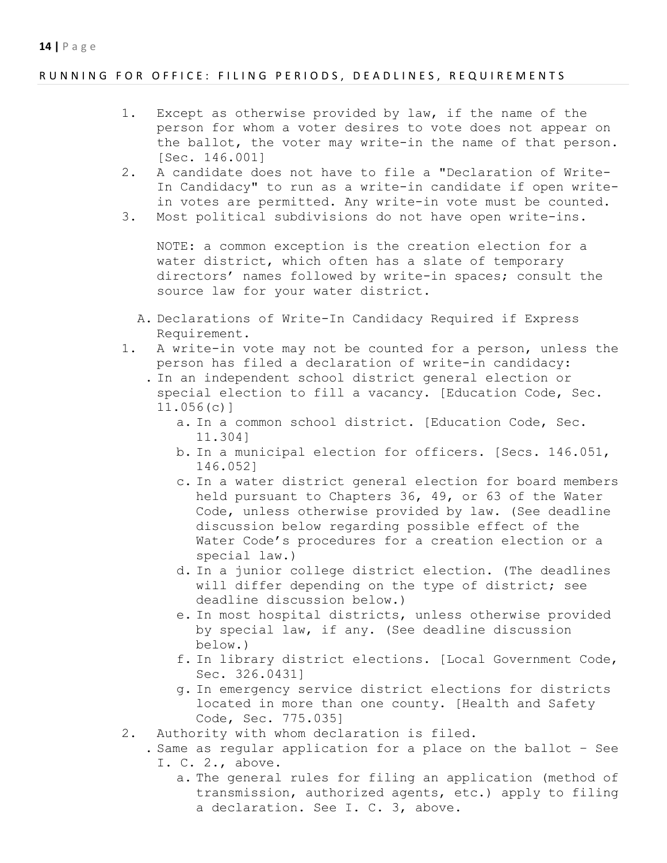## RUNNING FOR OFFICE: FILING PERIODS, DEADLINES, REQUIREMENTS

- 1. Except as otherwise provided by law, if the name of the person for whom a voter desires to vote does not appear on the ballot, the voter may write-in the name of that person. [Sec. 146.001]
- 2. A candidate does not have to file a "Declaration of Write-In Candidacy" to run as a write-in candidate if open writein votes are permitted. Any write-in vote must be counted.
- 3. Most political subdivisions do not have open write-ins.

NOTE: a common exception is the creation election for a water district, which often has a slate of temporary directors' names followed by write-in spaces; consult the source law for your water district.

- A. Declarations of Write-In Candidacy Required if Express Requirement.
- 1. A write-in vote may not be counted for a person, unless the person has filed a declaration of write-in candidacy:
	- . In an independent school district general election or special election to fill a vacancy. [Education Code, Sec. 11.056(c)]
		- a. In a common school district. [Education Code, Sec. 11.304]
		- b. In a municipal election for officers. [Secs. 146.051, 146.052]
		- c. In a water district general election for board members held pursuant to Chapters 36, 49, or 63 of the Water Code, unless otherwise provided by law. (See deadline discussion below regarding possible effect of the Water Code's procedures for a creation election or a special law.)
		- d. In a junior college district election. (The deadlines will differ depending on the type of district; see deadline discussion below.)
		- e. In most hospital districts, unless otherwise provided by special law, if any. (See deadline discussion below.)
		- f. In library district elections. [Local Government Code, Sec. 326.0431]
		- g. In emergency service district elections for districts located in more than one county. [Health and Safety Code, Sec. 775.035]
- 2. Authority with whom declaration is filed.
	- . Same as regular application for a place on the ballot See I. C. 2., above.
		- a. The general rules for filing an application (method of transmission, authorized agents, etc.) apply to filing a declaration. See I. C. 3, above.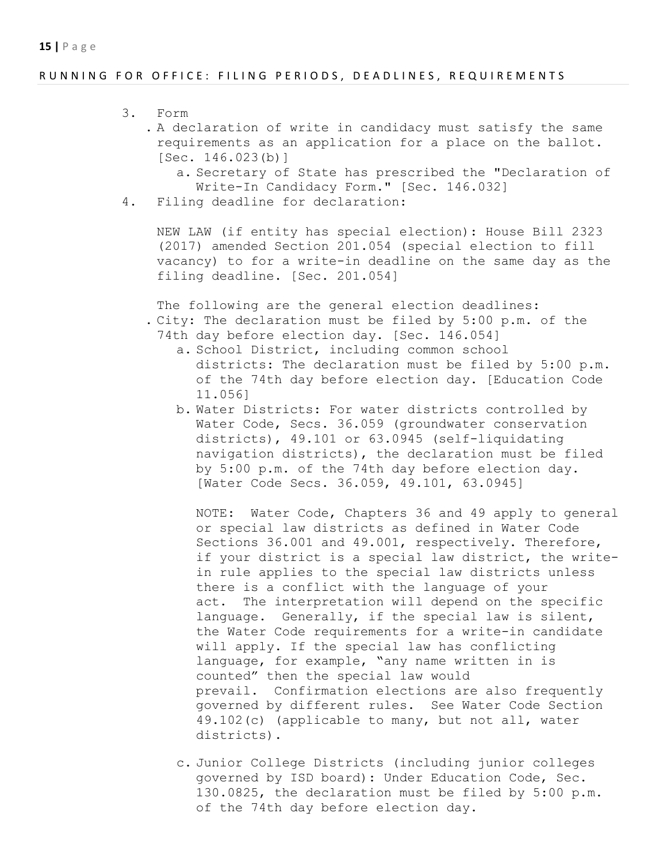## RUNNING FOR OFFICE: FILING PERIODS, DEADLINES, REQUIREMENTS

- 3. Form
	- . A declaration of write in candidacy must satisfy the same requirements as an application for a place on the ballot. [Sec. 146.023(b)]
		- a. Secretary of State has prescribed the "Declaration of Write-In Candidacy Form." [Sec. 146.032]
- 4. Filing deadline for declaration:

NEW LAW (if entity has special election): House Bill 2323 (2017) amended Section 201.054 (special election to fill vacancy) to for a write-in deadline on the same day as the filing deadline. [Sec. 201.054]

The following are the general election deadlines: . City: The declaration must be filed by 5:00 p.m. of the 74th day before election day. [Sec. 146.054]

- a. School District, including common school districts: The declaration must be filed by 5:00 p.m. of the 74th day before election day. [Education Code 11.056]
- b. Water Districts: For water districts controlled by Water Code, Secs. 36.059 (groundwater conservation districts), 49.101 or 63.0945 (self-liquidating navigation districts), the declaration must be filed by 5:00 p.m. of the 74th day before election day. [Water Code Secs. 36.059, 49.101, 63.0945]

NOTE: Water Code, Chapters 36 and 49 apply to general or special law districts as defined in Water Code Sections 36.001 and 49.001, respectively. Therefore, if your district is a special law district, the writein rule applies to the special law districts unless there is a conflict with the language of your act. The interpretation will depend on the specific language. Generally, if the special law is silent, the Water Code requirements for a write-in candidate will apply. If the special law has conflicting language, for example, "any name written in is counted" then the special law would prevail. Confirmation elections are also frequently governed by different rules. See Water Code Section 49.102(c) (applicable to many, but not all, water districts).

c. Junior College Districts (including junior colleges governed by ISD board): Under Education Code, Sec. 130.0825, the declaration must be filed by 5:00 p.m. of the 74th day before election day.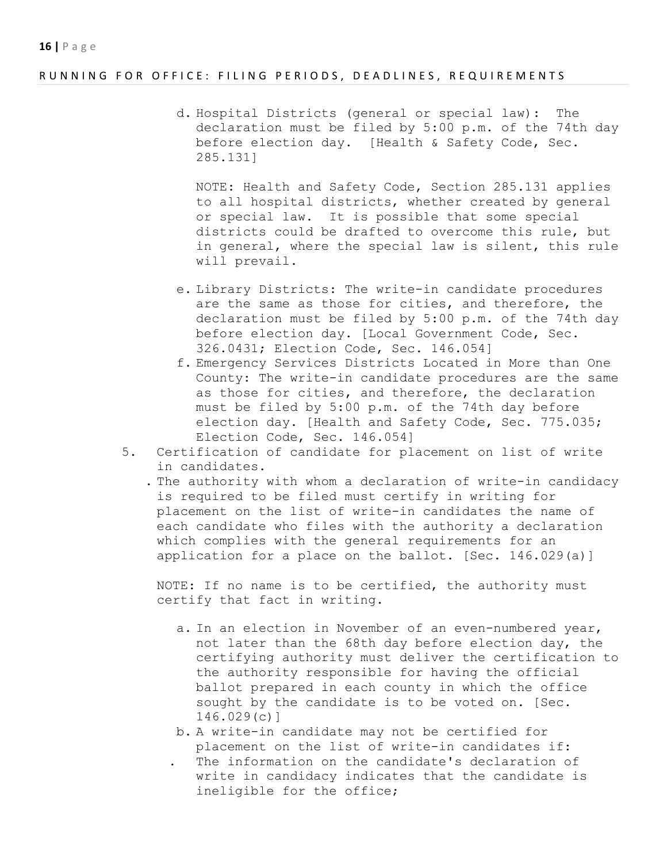#### RUNNING FOR OFFICE: FILING PERIODS, DEADLINES, REQUIREMENTS

d. Hospital Districts (general or special law): The declaration must be filed by 5:00 p.m. of the 74th day before election day. [Health & Safety Code, Sec. 285.131]

NOTE: Health and Safety Code, Section 285.131 applies to all hospital districts, whether created by general or special law. It is possible that some special districts could be drafted to overcome this rule, but in general, where the special law is silent, this rule will prevail.

- e. Library Districts: The write-in candidate procedures are the same as those for cities, and therefore, the declaration must be filed by 5:00 p.m. of the 74th day before election day. [Local Government Code, Sec. 326.0431; Election Code, Sec. 146.054]
- f. Emergency Services Districts Located in More than One County: The write-in candidate procedures are the same as those for cities, and therefore, the declaration must be filed by 5:00 p.m. of the 74th day before election day. [Health and Safety Code, Sec. 775.035; Election Code, Sec. 146.054]
- 5. Certification of candidate for placement on list of write in candidates.

 . The authority with whom a declaration of write-in candidacy is required to be filed must certify in writing for placement on the list of write-in candidates the name of each candidate who files with the authority a declaration which complies with the general requirements for an application for a place on the ballot. [Sec. 146.029(a)]

NOTE: If no name is to be certified, the authority must certify that fact in writing.

- a. In an election in November of an even-numbered year, not later than the 68th day before election day, the certifying authority must deliver the certification to the authority responsible for having the official ballot prepared in each county in which the office sought by the candidate is to be voted on. [Sec. 146.029(c)]
- b. A write-in candidate may not be certified for placement on the list of write-in candidates if:
- The information on the candidate's declaration of write in candidacy indicates that the candidate is ineligible for the office;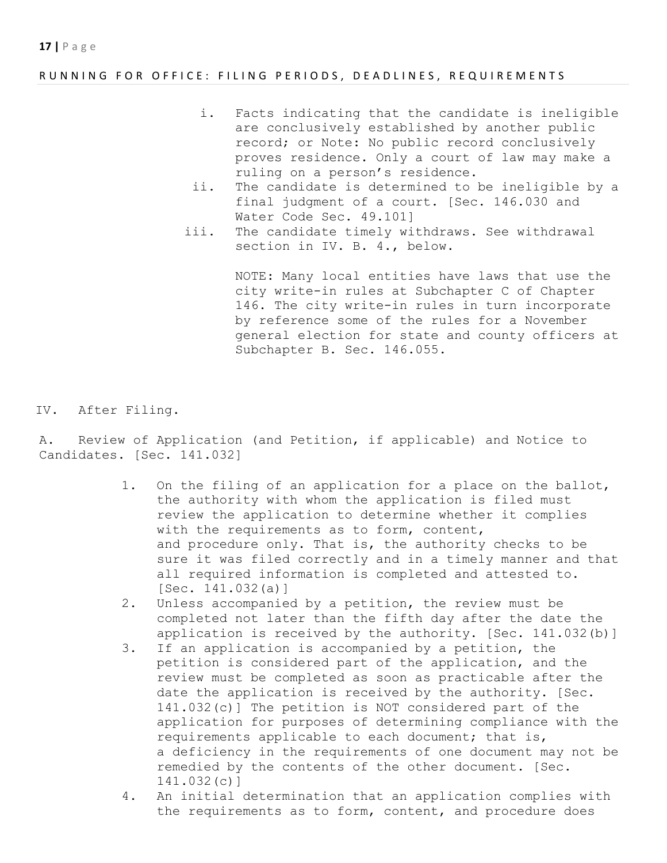## RUNNING FOR OFFICE: FILING PERIODS, DEADLINES, REQUIREMENTS

- i. Facts indicating that the candidate is ineligible are conclusively established by another public record; or Note: No public record conclusively proves residence. Only a court of law may make a ruling on a person's residence.
- ii. The candidate is determined to be ineligible by a final judgment of a court. [Sec. 146.030 and Water Code Sec. 49.101]
- iii. The candidate timely withdraws. See withdrawal section in IV. B. 4., below.

NOTE: Many local entities have laws that use the city write-in rules at Subchapter C of Chapter 146. The city write-in rules in turn incorporate by reference some of the rules for a November general election for state and county officers at Subchapter B. Sec. 146.055.

IV. After Filing.

A. Review of Application (and Petition, if applicable) and Notice to Candidates. [Sec. 141.032]

- 1. On the filing of an application for a place on the ballot, the authority with whom the application is filed must review the application to determine whether it complies with the requirements as to form, content, and procedure only. That is, the authority checks to be sure it was filed correctly and in a timely manner and that all required information is completed and attested to. [Sec. 141.032(a)]
- 2. Unless accompanied by a petition, the review must be completed not later than the fifth day after the date the application is received by the authority. [Sec. 141.032(b)]
- 3. If an application is accompanied by a petition, the petition is considered part of the application, and the review must be completed as soon as practicable after the date the application is received by the authority. [Sec. 141.032(c)] The petition is NOT considered part of the application for purposes of determining compliance with the requirements applicable to each document; that is, a deficiency in the requirements of one document may not be remedied by the contents of the other document. [Sec. 141.032(c)]
- 4. An initial determination that an application complies with the requirements as to form, content, and procedure does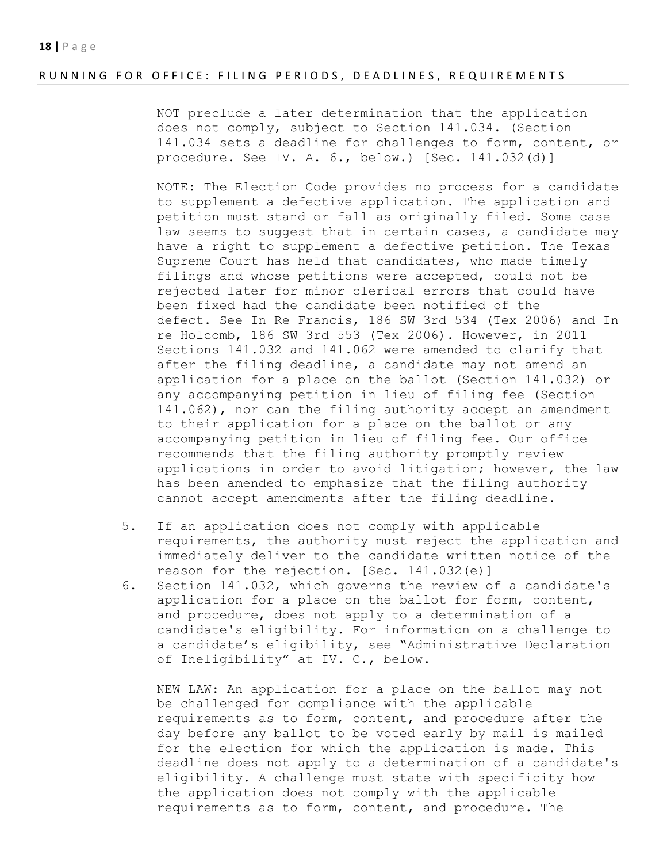#### RUNNING FOR OFFICE: FILING PERIODS, DEADLINES, REQUIREMENTS

NOT preclude a later determination that the application does not comply, subject to Section 141.034. (Section 141.034 sets a deadline for challenges to form, content, or procedure. See IV. A. 6., below.) [Sec. 141.032(d)]

NOTE: The Election Code provides no process for a candidate to supplement a defective application. The application and petition must stand or fall as originally filed. Some case law seems to suggest that in certain cases, a candidate may have a right to supplement a defective petition. The Texas Supreme Court has held that candidates, who made timely filings and whose petitions were accepted, could not be rejected later for minor clerical errors that could have been fixed had the candidate been notified of the defect. See In Re Francis, 186 SW 3rd 534 (Tex 2006) and In re Holcomb, 186 SW 3rd 553 (Tex 2006). However, in 2011 Sections 141.032 and 141.062 were amended to clarify that after the filing deadline, a candidate may not amend an application for a place on the ballot (Section 141.032) or any accompanying petition in lieu of filing fee (Section 141.062), nor can the filing authority accept an amendment to their application for a place on the ballot or any accompanying petition in lieu of filing fee. Our office recommends that the filing authority promptly review applications in order to avoid litigation; however, the law has been amended to emphasize that the filing authority cannot accept amendments after the filing deadline.

- 5. If an application does not comply with applicable requirements, the authority must reject the application and immediately deliver to the candidate written notice of the reason for the rejection. [Sec. 141.032(e)]
- 6. Section 141.032, which governs the review of a candidate's application for a place on the ballot for form, content, and procedure, does not apply to a determination of a candidate's eligibility. For information on a challenge to a candidate's eligibility, see "Administrative Declaration of Ineligibility" at IV. C., below.

NEW LAW: An application for a place on the ballot may not be challenged for compliance with the applicable requirements as to form, content, and procedure after the day before any ballot to be voted early by mail is mailed for the election for which the application is made. This deadline does not apply to a determination of a candidate's eligibility. A challenge must state with specificity how the application does not comply with the applicable requirements as to form, content, and procedure. The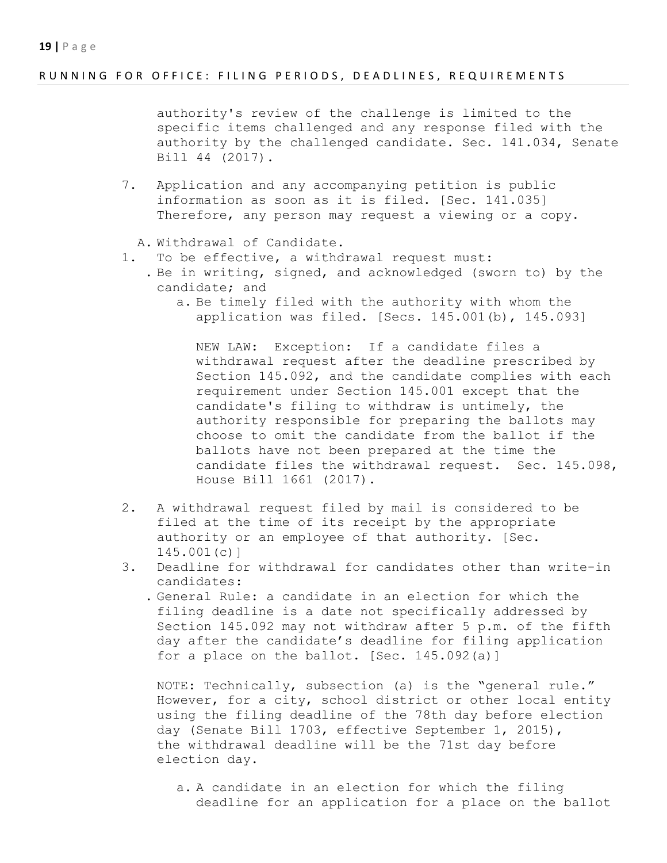## RUNNING FOR OFFICE: FILING PERIODS, DEADLINES, REQUIREMENTS

authority's review of the challenge is limited to the specific items challenged and any response filed with the authority by the challenged candidate. Sec. 141.034, Senate Bill 44 (2017).

- 7. Application and any accompanying petition is public information as soon as it is filed. [Sec. 141.035] Therefore, any person may request a viewing or a copy.
	- A. Withdrawal of Candidate.
- 1. To be effective, a withdrawal request must:
	- . Be in writing, signed, and acknowledged (sworn to) by the candidate; and
		- a. Be timely filed with the authority with whom the application was filed. [Secs. 145.001(b), 145.093]

NEW LAW: Exception: If a candidate files a withdrawal request after the deadline prescribed by Section 145.092, and the candidate complies with each requirement under Section 145.001 except that the candidate's filing to withdraw is untimely, the authority responsible for preparing the ballots may choose to omit the candidate from the ballot if the ballots have not been prepared at the time the candidate files the withdrawal request. Sec. 145.098, House Bill 1661 (2017).

- 2. A withdrawal request filed by mail is considered to be filed at the time of its receipt by the appropriate authority or an employee of that authority. [Sec. 145.001(c)]
- 3. Deadline for withdrawal for candidates other than write-in candidates:
	- . General Rule: a candidate in an election for which the filing deadline is a date not specifically addressed by Section 145.092 may not withdraw after 5 p.m. of the fifth day after the candidate's deadline for filing application for a place on the ballot. [Sec. 145.092(a)]

NOTE: Technically, subsection (a) is the "general rule." However, for a city, school district or other local entity using the filing deadline of the 78th day before election day (Senate Bill 1703, effective September 1, 2015), the withdrawal deadline will be the 71st day before election day.

a. A candidate in an election for which the filing deadline for an application for a place on the ballot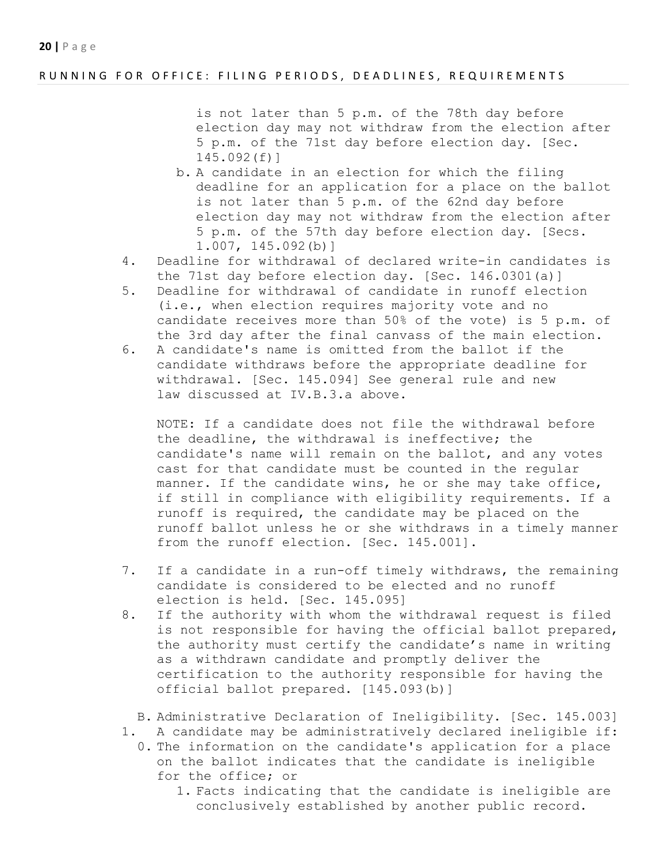## RUNNING FOR OFFICE: FILING PERIODS, DEADLINES, REQUIREMENTS

is not later than 5 p.m. of the 78th day before election day may not withdraw from the election after 5 p.m. of the 71st day before election day. [Sec. 145.092(f)]

- b. A candidate in an election for which the filing deadline for an application for a place on the ballot is not later than 5 p.m. of the 62nd day before election day may not withdraw from the election after 5 p.m. of the 57th day before election day. [Secs. 1.007, 145.092(b)]
- 4. Deadline for withdrawal of declared write-in candidates is the 71st day before election day. [Sec. 146.0301(a)]
- 5. Deadline for withdrawal of candidate in runoff election (i.e., when election requires majority vote and no candidate receives more than 50% of the vote) is 5 p.m. of the 3rd day after the final canvass of the main election.
- 6. A candidate's name is omitted from the ballot if the candidate withdraws before the appropriate deadline for withdrawal. [Sec. 145.094] See general rule and new law discussed at IV.B.3.a above.

NOTE: If a candidate does not file the withdrawal before the deadline, the withdrawal is ineffective; the candidate's name will remain on the ballot, and any votes cast for that candidate must be counted in the regular manner. If the candidate wins, he or she may take office, if still in compliance with eligibility requirements. If a runoff is required, the candidate may be placed on the runoff ballot unless he or she withdraws in a timely manner from the runoff election. [Sec. 145.001].

- 7. If a candidate in a run-off timely withdraws, the remaining candidate is considered to be elected and no runoff election is held. [Sec. 145.095]
- 8. If the authority with whom the withdrawal request is filed is not responsible for having the official ballot prepared, the authority must certify the candidate's name in writing as a withdrawn candidate and promptly deliver the certification to the authority responsible for having the official ballot prepared. [145.093(b)]
	- B. Administrative Declaration of Ineligibility. [Sec. 145.003]
- 1. A candidate may be administratively declared ineligible if:
	- 0. The information on the candidate's application for a place on the ballot indicates that the candidate is ineligible for the office; or
		- 1. Facts indicating that the candidate is ineligible are conclusively established by another public record.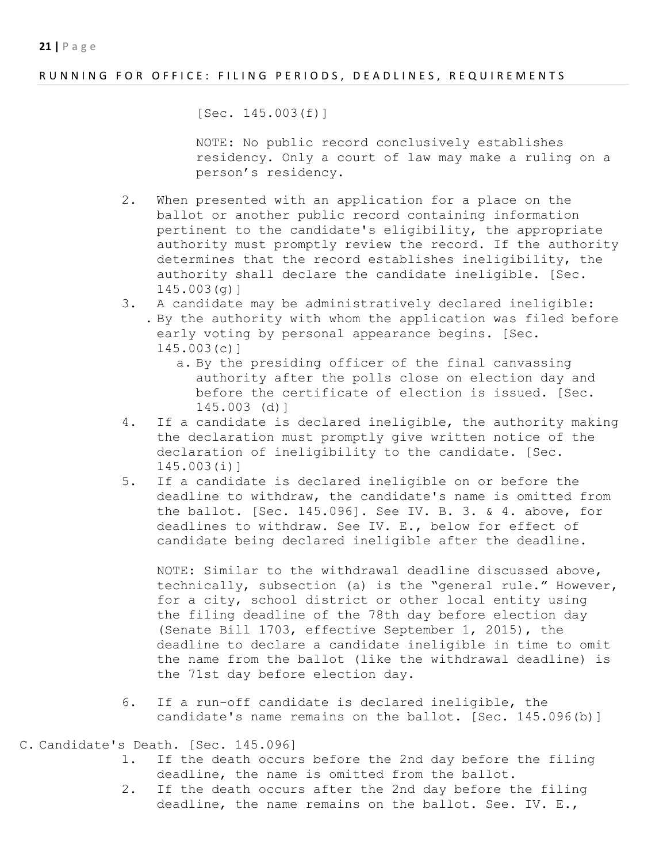## RUNNING FOR OFFICE: FILING PERIODS, DEADLINES, REQUIREMENTS

[Sec. 145.003(f)]

NOTE: No public record conclusively establishes residency. Only a court of law may make a ruling on a person's residency.

- 2. When presented with an application for a place on the ballot or another public record containing information pertinent to the candidate's eligibility, the appropriate authority must promptly review the record. If the authority determines that the record establishes ineligibility, the authority shall declare the candidate ineligible. [Sec. 145.003(g)]
- 3. A candidate may be administratively declared ineligible: . By the authority with whom the application was filed before early voting by personal appearance begins. [Sec. 145.003(c)]
	- a. By the presiding officer of the final canvassing authority after the polls close on election day and before the certificate of election is issued. [Sec. 145.003 (d)]
- 4. If a candidate is declared ineligible, the authority making the declaration must promptly give written notice of the declaration of ineligibility to the candidate. [Sec. 145.003(i)]
- 5. If a candidate is declared ineligible on or before the deadline to withdraw, the candidate's name is omitted from the ballot. [Sec. 145.096]. See IV. B. 3. & 4. above, for deadlines to withdraw. See IV. E., below for effect of candidate being declared ineligible after the deadline.

NOTE: Similar to the withdrawal deadline discussed above, technically, subsection (a) is the "general rule." However, for a city, school district or other local entity using the filing deadline of the 78th day before election day (Senate Bill 1703, effective September 1, 2015), the deadline to declare a candidate ineligible in time to omit the name from the ballot (like the withdrawal deadline) is the 71st day before election day.

- 6. If a run-off candidate is declared ineligible, the candidate's name remains on the ballot. [Sec. 145.096(b)]
- C. Candidate's Death. [Sec. 145.096]
	- 1. If the death occurs before the 2nd day before the filing deadline, the name is omitted from the ballot.
	- 2. If the death occurs after the 2nd day before the filing deadline, the name remains on the ballot. See. IV. E.,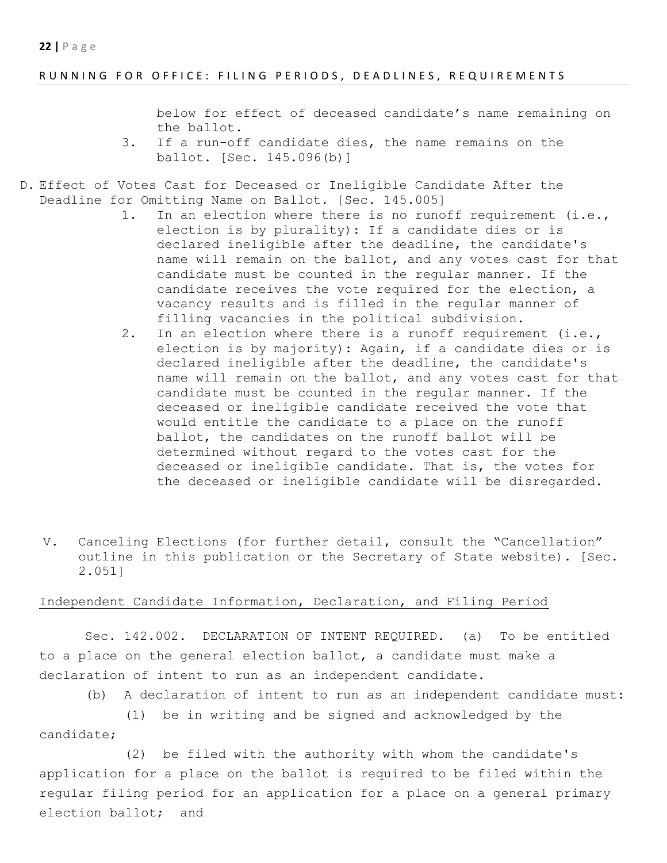### RUNNING FOR OFFICE: FILING PERIODS, DEADLINES, REQUIREMENTS

below for effect of deceased candidate's name remaining on the ballot.

- 3. If a run-off candidate dies, the name remains on the ballot. [Sec. 145.096(b)]
- D. Effect of Votes Cast for Deceased or Ineligible Candidate After the Deadline for Omitting Name on Ballot. [Sec. 145.005]
	- 1. In an election where there is no runoff requirement (i.e., election is by plurality): If a candidate dies or is declared ineligible after the deadline, the candidate's name will remain on the ballot, and any votes cast for that candidate must be counted in the regular manner. If the candidate receives the vote required for the election, a vacancy results and is filled in the regular manner of filling vacancies in the political subdivision.
	- 2. In an election where there is a runoff requirement (i.e., election is by majority): Again, if a candidate dies or is declared ineligible after the deadline, the candidate's name will remain on the ballot, and any votes cast for that candidate must be counted in the regular manner. If the deceased or ineligible candidate received the vote that would entitle the candidate to a place on the runoff ballot, the candidates on the runoff ballot will be determined without regard to the votes cast for the deceased or ineligible candidate. That is, the votes for the deceased or ineligible candidate will be disregarded.
	- V. Canceling Elections (for further detail, consult the "Cancellation" outline in this publication or the Secretary of State website). [Sec. 2.051]

# Independent Candidate Information, Declaration, and Filing Period

Sec. 142.002. DECLARATION OF INTENT REQUIRED. (a) To be entitled to a place on the general election ballot, a candidate must make a declaration of intent to run as an independent candidate.

(b) A declaration of intent to run as an independent candidate must:

(1) be in writing and be signed and acknowledged by the candidate;

(2) be filed with the authority with whom the candidate's application for a place on the ballot is required to be filed within the regular filing period for an application for a place on a general primary election ballot; and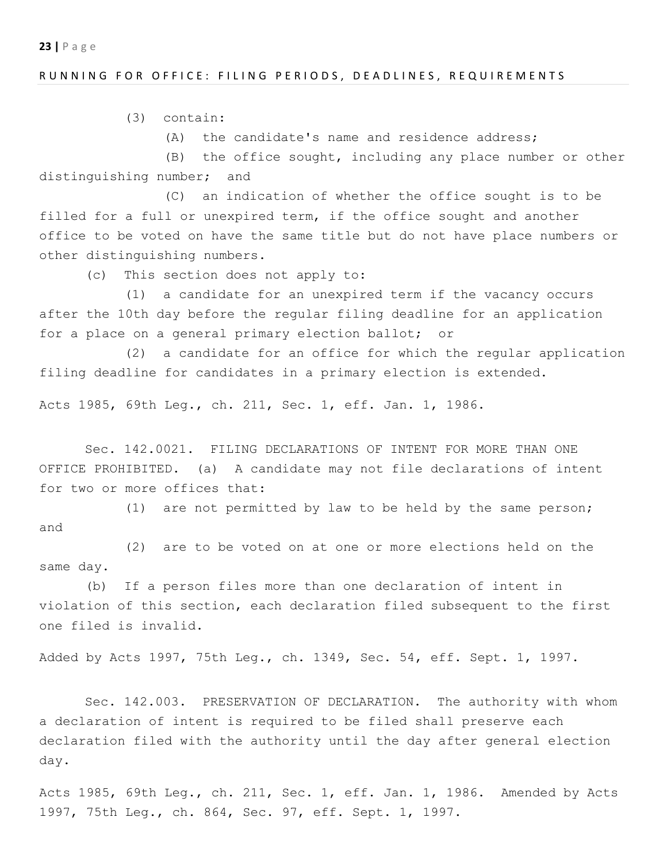#### RUNNING FOR OFFICE: FILING PERIODS, DEADLINES, REQUIREMENTS

(3) contain:

(A) the candidate's name and residence address;

(B) the office sought, including any place number or other distinguishing number; and

(C) an indication of whether the office sought is to be filled for a full or unexpired term, if the office sought and another office to be voted on have the same title but do not have place numbers or other distinguishing numbers.

(c) This section does not apply to:

(1) a candidate for an unexpired term if the vacancy occurs after the 10th day before the regular filing deadline for an application for a place on a general primary election ballot; or

(2) a candidate for an office for which the regular application filing deadline for candidates in a primary election is extended.

Acts 1985, 69th Leg., ch. 211, Sec. 1, eff. Jan. 1, 1986.

Sec. 142.0021. FILING DECLARATIONS OF INTENT FOR MORE THAN ONE OFFICE PROHIBITED. (a) A candidate may not file declarations of intent for two or more offices that:

(1) are not permitted by law to be held by the same person; and

(2) are to be voted on at one or more elections held on the same day.

(b) If a person files more than one declaration of intent in violation of this section, each declaration filed subsequent to the first one filed is invalid.

Added by Acts 1997, 75th Leg., ch. 1349, Sec. 54, eff. Sept. 1, 1997.

Sec. 142.003. PRESERVATION OF DECLARATION. The authority with whom a declaration of intent is required to be filed shall preserve each declaration filed with the authority until the day after general election day.

Acts 1985, 69th Leg., ch. 211, Sec. 1, eff. Jan. 1, 1986. Amended by Acts 1997, 75th Leg., ch. 864, Sec. 97, eff. Sept. 1, 1997.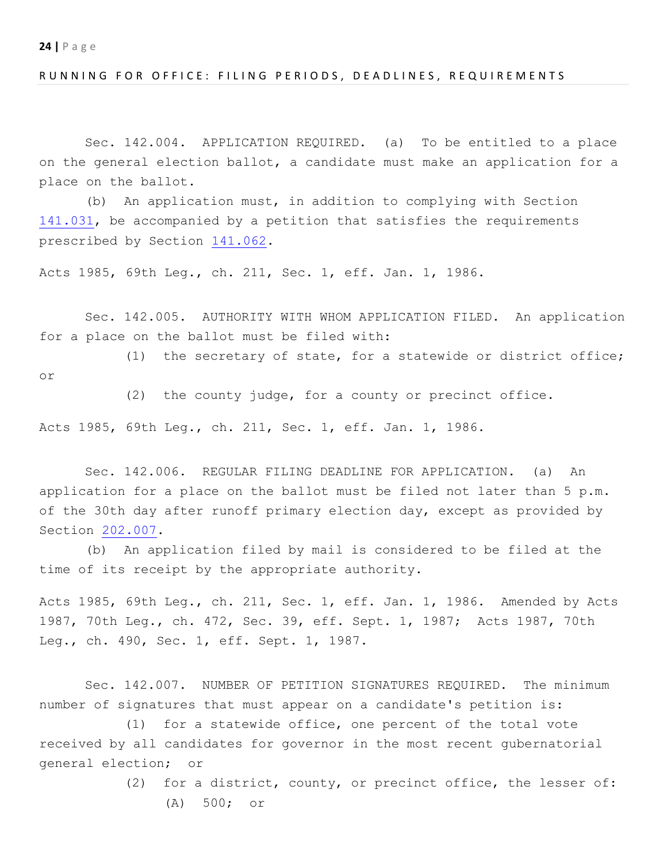#### RUNNING FOR OFFICE: FILING PERIODS, DEADLINES, REQUIREMENTS

Sec. 142.004. APPLICATION REQUIRED. (a) To be entitled to a place on the general election ballot, a candidate must make an application for a place on the ballot.

(b) An application must, in addition to complying with Section 141.031, be accompanied by a petition that satisfies the requirements prescribed by Section 141.062.

Acts 1985, 69th Leg., ch. 211, Sec. 1, eff. Jan. 1, 1986.

Sec. 142.005. AUTHORITY WITH WHOM APPLICATION FILED. An application for a place on the ballot must be filed with:

(1) the secretary of state, for a statewide or district office;

or

(2) the county judge, for a county or precinct office.

Acts 1985, 69th Leg., ch. 211, Sec. 1, eff. Jan. 1, 1986.

Sec. 142.006. REGULAR FILING DEADLINE FOR APPLICATION. (a) An application for a place on the ballot must be filed not later than 5 p.m. of the 30th day after runoff primary election day, except as provided by Section 202.007.

(b) An application filed by mail is considered to be filed at the time of its receipt by the appropriate authority.

Acts 1985, 69th Leg., ch. 211, Sec. 1, eff. Jan. 1, 1986. Amended by Acts 1987, 70th Leg., ch. 472, Sec. 39, eff. Sept. 1, 1987; Acts 1987, 70th Leg., ch. 490, Sec. 1, eff. Sept. 1, 1987.

Sec. 142.007. NUMBER OF PETITION SIGNATURES REQUIRED. The minimum number of signatures that must appear on a candidate's petition is:

(1) for a statewide office, one percent of the total vote received by all candidates for governor in the most recent gubernatorial general election; or

(2) for a district, county, or precinct office, the lesser of:

(A) 500; or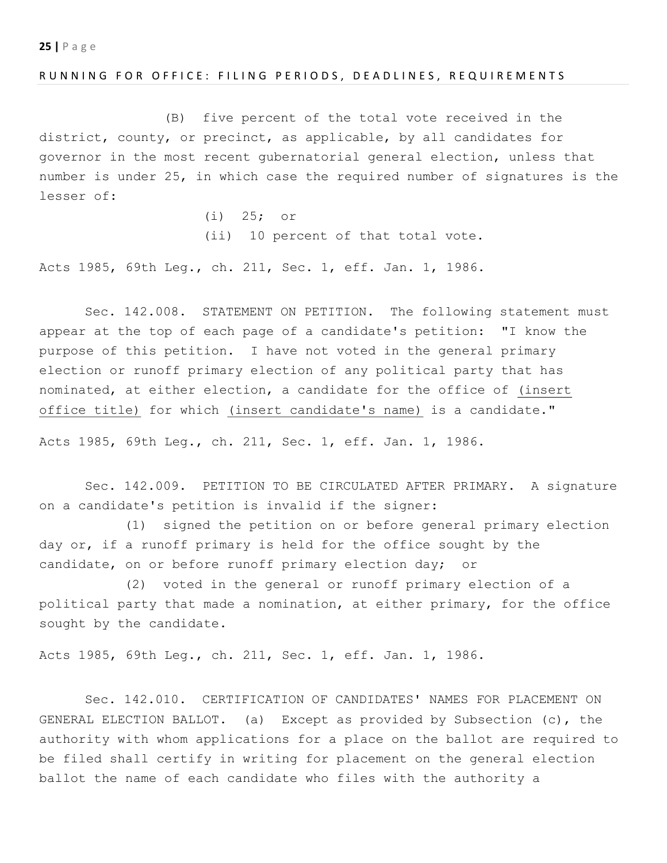#### RUNNING FOR OFFICE: FILING PERIODS, DEADLINES, REQUIREMENTS

(B) five percent of the total vote received in the district, county, or precinct, as applicable, by all candidates for governor in the most recent gubernatorial general election, unless that number is under 25, in which case the required number of signatures is the lesser of:

> (i) 25; or (ii) 10 percent of that total vote.

Acts 1985, 69th Leg., ch. 211, Sec. 1, eff. Jan. 1, 1986.

Sec. 142.008. STATEMENT ON PETITION. The following statement must appear at the top of each page of a candidate's petition: "I know the purpose of this petition. I have not voted in the general primary election or runoff primary election of any political party that has nominated, at either election, a candidate for the office of (insert office title) for which (insert candidate's name) is a candidate."

Acts 1985, 69th Leg., ch. 211, Sec. 1, eff. Jan. 1, 1986.

Sec. 142.009. PETITION TO BE CIRCULATED AFTER PRIMARY. A signature on a candidate's petition is invalid if the signer:

(1) signed the petition on or before general primary election day or, if a runoff primary is held for the office sought by the candidate, on or before runoff primary election day; or

(2) voted in the general or runoff primary election of a political party that made a nomination, at either primary, for the office sought by the candidate.

Acts 1985, 69th Leg., ch. 211, Sec. 1, eff. Jan. 1, 1986.

Sec. 142.010. CERTIFICATION OF CANDIDATES' NAMES FOR PLACEMENT ON GENERAL ELECTION BALLOT. (a) Except as provided by Subsection (c), the authority with whom applications for a place on the ballot are required to be filed shall certify in writing for placement on the general election ballot the name of each candidate who files with the authority a